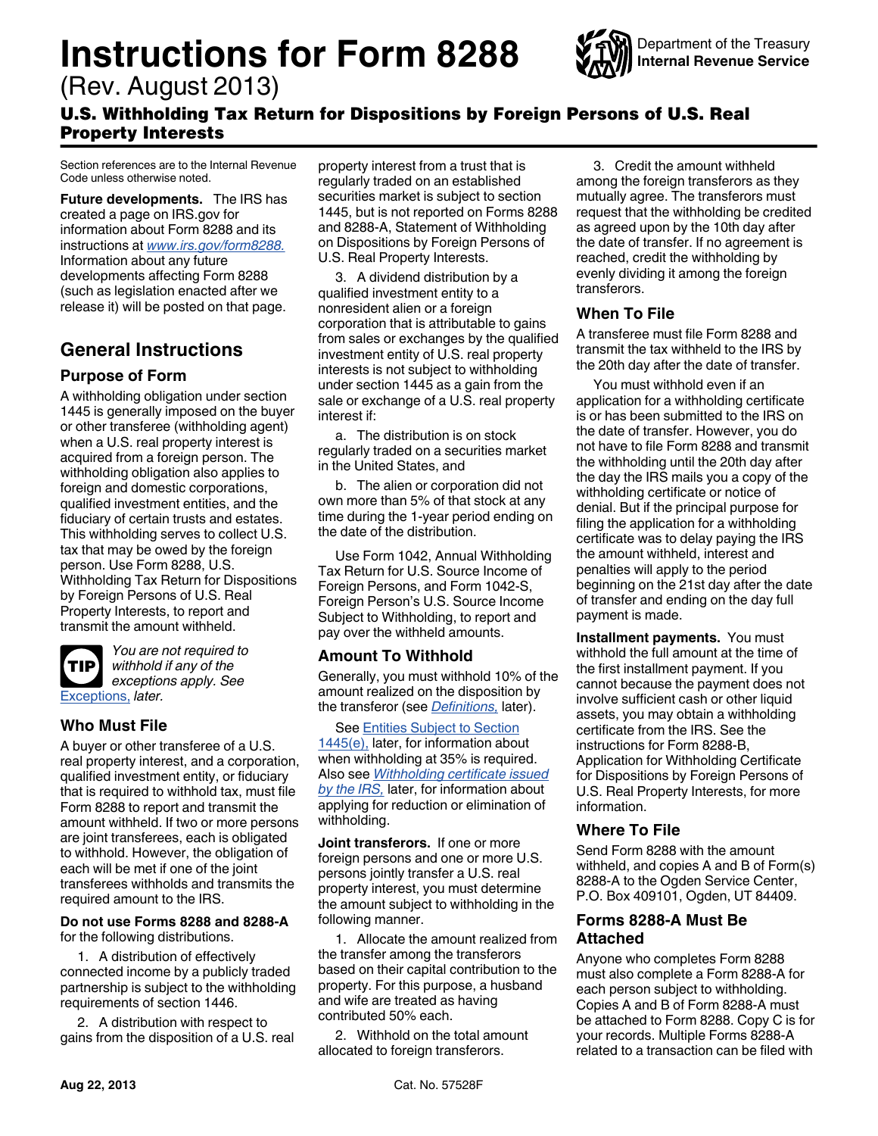# <span id="page-0-0"></span>**Instructions for Form 8288**

(Rev. August 2013)



## U.S. Withholding Tax Return for Dispositions by Foreign Persons of U.S. Real Property Interests

Section references are to the Internal Revenue Code unless otherwise noted.

**Future developments.** The IRS has created a page on IRS.gov for information about Form 8288 and its instructions at *[www.irs.gov/form8288.](http://www.irs.gov/form8288)*  Information about any future developments affecting Form 8288 (such as legislation enacted after we release it) will be posted on that page.

# **General Instructions**

## **Purpose of Form**

A withholding obligation under section 1445 is generally imposed on the buyer or other transferee (withholding agent) when a U.S. real property interest is acquired from a foreign person. The withholding obligation also applies to foreign and domestic corporations, qualified investment entities, and the fiduciary of certain trusts and estates. This withholding serves to collect U.S. tax that may be owed by the foreign person. Use Form 8288, U.S. Withholding Tax Return for Dispositions by Foreign Persons of U.S. Real Property Interests, to report and transmit the amount withheld.



*You are not required to withhold if any of the exceptions apply. See*  [Exceptions,](#page-1-0) *later.*

## **Who Must File**

A buyer or other transferee of a U.S. real property interest, and a corporation, qualified investment entity, or fiduciary that is required to withhold tax, must file Form 8288 to report and transmit the amount withheld. If two or more persons are joint transferees, each is obligated to withhold. However, the obligation of each will be met if one of the joint transferees withholds and transmits the required amount to the IRS.

#### **Do not use Forms 8288 and 8288-A**  for the following distributions.

1. A distribution of effectively connected income by a publicly traded partnership is subject to the withholding requirements of section 1446.

2. A distribution with respect to gains from the disposition of a U.S. real property interest from a trust that is regularly traded on an established securities market is subject to section 1445, but is not reported on Forms 8288 and 8288-A, Statement of Withholding on Dispositions by Foreign Persons of U.S. Real Property Interests.

3. A dividend distribution by a qualified investment entity to a nonresident alien or a foreign corporation that is attributable to gains from sales or exchanges by the qualified investment entity of U.S. real property interests is not subject to withholding under section 1445 as a gain from the sale or exchange of a U.S. real property interest if:

a. The distribution is on stock regularly traded on a securities market in the United States, and

b. The alien or corporation did not own more than 5% of that stock at any time during the 1-year period ending on the date of the distribution.

Use Form 1042, Annual Withholding Tax Return for U.S. Source Income of Foreign Persons, and Form 1042-S, Foreign Person's U.S. Source Income Subject to Withholding, to report and pay over the withheld amounts.

## **Amount To Withhold**

Generally, you must withhold 10% of the amount realized on the disposition by the transferor (see *[Definitions,](#page-1-0)* later).

See [Entities Subject to Section](#page-3-0)  $1445(e)$ , later, for information about when withholding at 35% is required. Also see *[Withholding certificate issued](#page-2-0)  [by the IRS,](#page-2-0)* later, for information about applying for reduction or elimination of withholding.

**Joint transferors.** If one or more foreign persons and one or more U.S. persons jointly transfer a U.S. real property interest, you must determine the amount subject to withholding in the following manner.

1. Allocate the amount realized from the transfer among the transferors based on their capital contribution to the property. For this purpose, a husband and wife are treated as having contributed 50% each.

2. Withhold on the total amount allocated to foreign transferors.

3. Credit the amount withheld among the foreign transferors as they mutually agree. The transferors must request that the withholding be credited as agreed upon by the 10th day after the date of transfer. If no agreement is reached, credit the withholding by evenly dividing it among the foreign transferors.

## **When To File**

A transferee must file Form 8288 and transmit the tax withheld to the IRS by the 20th day after the date of transfer.

You must withhold even if an application for a withholding certificate is or has been submitted to the IRS on the date of transfer. However, you do not have to file Form 8288 and transmit the withholding until the 20th day after the day the IRS mails you a copy of the withholding certificate or notice of denial. But if the principal purpose for filing the application for a withholding certificate was to delay paying the IRS the amount withheld, interest and penalties will apply to the period beginning on the 21st day after the date of transfer and ending on the day full payment is made.

**Installment payments.** You must withhold the full amount at the time of the first installment payment. If you cannot because the payment does not involve sufficient cash or other liquid assets, you may obtain a withholding certificate from the IRS. See the instructions for Form 8288-B, Application for Withholding Certificate for Dispositions by Foreign Persons of U.S. Real Property Interests, for more information.

## **Where To File**

Send Form 8288 with the amount withheld, and copies A and B of Form(s) 8288-A to the Ogden Service Center, P.O. Box 409101, Ogden, UT 84409.

## **Forms 8288-A Must Be Attached**

Anyone who completes Form 8288 must also complete a Form 8288-A for each person subject to withholding. Copies A and B of Form 8288-A must be attached to Form 8288. Copy C is for your records. Multiple Forms 8288-A related to a transaction can be filed with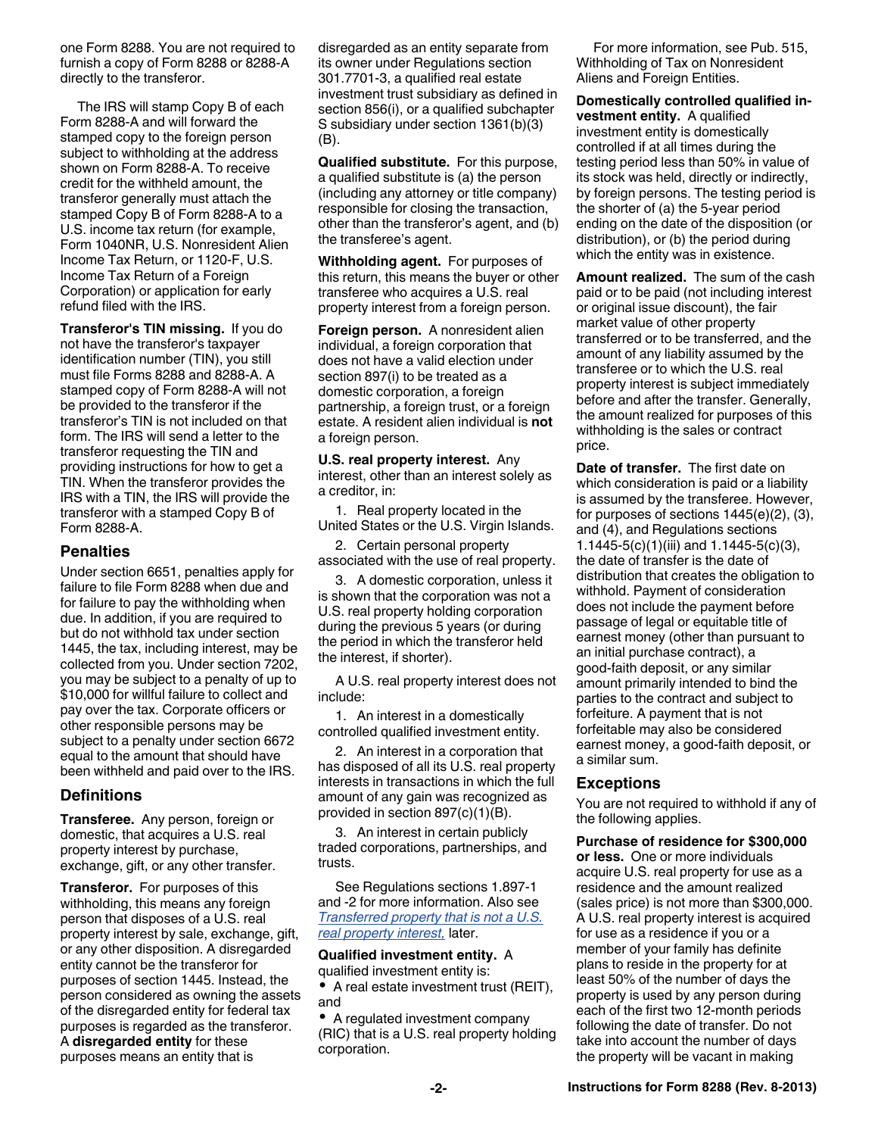<span id="page-1-0"></span>one Form 8288. You are not required to furnish a copy of Form 8288 or 8288-A directly to the transferor.

The IRS will stamp Copy B of each Form 8288-A and will forward the stamped copy to the foreign person subject to withholding at the address shown on Form 8288-A. To receive credit for the withheld amount, the transferor generally must attach the stamped Copy B of Form 8288-A to a U.S. income tax return (for example, Form 1040NR, U.S. Nonresident Alien Income Tax Return, or 1120-F, U.S. Income Tax Return of a Foreign Corporation) or application for early refund filed with the IRS.

**Transferor's TIN missing.** If you do not have the transferor's taxpayer identification number (TIN), you still must file Forms 8288 and 8288-A. A stamped copy of Form 8288-A will not be provided to the transferor if the transferor's TIN is not included on that form. The IRS will send a letter to the transferor requesting the TIN and providing instructions for how to get a TIN. When the transferor provides the IRS with a TIN, the IRS will provide the transferor with a stamped Copy B of Form 8288-A.

#### **Penalties**

Under section 6651, penalties apply for failure to file Form 8288 when due and for failure to pay the withholding when due. In addition, if you are required to but do not withhold tax under section 1445, the tax, including interest, may be collected from you. Under section 7202, you may be subject to a penalty of up to \$10,000 for willful failure to collect and pay over the tax. Corporate officers or other responsible persons may be subject to a penalty under section 6672 equal to the amount that should have been withheld and paid over to the IRS.

#### **Definitions**

**Transferee.** Any person, foreign or domestic, that acquires a U.S. real property interest by purchase, exchange, gift, or any other transfer.

**Transferor.** For purposes of this withholding, this means any foreign person that disposes of a U.S. real property interest by sale, exchange, gift, or any other disposition. A disregarded entity cannot be the transferor for purposes of section 1445. Instead, the person considered as owning the assets of the disregarded entity for federal tax purposes is regarded as the transferor. A **disregarded entity** for these purposes means an entity that is

disregarded as an entity separate from its owner under Regulations section 301.7701-3, a qualified real estate investment trust subsidiary as defined in section 856(i), or a qualified subchapter S subsidiary under section 1361(b)(3) (B).

**Qualified substitute.** For this purpose, a qualified substitute is (a) the person (including any attorney or title company) responsible for closing the transaction, other than the transferor's agent, and (b) the transferee's agent.

**Withholding agent.** For purposes of this return, this means the buyer or other transferee who acquires a U.S. real property interest from a foreign person.

**Foreign person.** A nonresident alien individual, a foreign corporation that does not have a valid election under section 897(i) to be treated as a domestic corporation, a foreign partnership, a foreign trust, or a foreign estate. A resident alien individual is **not**  a foreign person.

**U.S. real property interest.** Any interest, other than an interest solely as a creditor, in:

1. Real property located in the United States or the U.S. Virgin Islands.

2. Certain personal property associated with the use of real property.

3. A domestic corporation, unless it is shown that the corporation was not a U.S. real property holding corporation during the previous 5 years (or during the period in which the transferor held the interest, if shorter).

A U.S. real property interest does not include:

1. An interest in a domestically controlled qualified investment entity.

2. An interest in a corporation that has disposed of all its U.S. real property interests in transactions in which the full amount of any gain was recognized as provided in section 897(c)(1)(B).

3. An interest in certain publicly traded corporations, partnerships, and trusts.

See Regulations sections 1.897-1 and -2 for more information. Also see *[Transferred property that is not a U.S.](#page-2-0)  [real property interest,](#page-2-0)* later.

#### **Qualified investment entity.** A qualified investment entity is:

A real estate investment trust (REIT), and

A regulated investment company (RIC) that is a U.S. real property holding corporation.

For more information, see Pub. 515, Withholding of Tax on Nonresident Aliens and Foreign Entities.

**Domestically controlled qualified investment entity.** A qualified investment entity is domestically controlled if at all times during the testing period less than 50% in value of its stock was held, directly or indirectly, by foreign persons. The testing period is the shorter of (a) the 5-year period ending on the date of the disposition (or distribution), or (b) the period during which the entity was in existence.

**Amount realized.** The sum of the cash paid or to be paid (not including interest or original issue discount), the fair market value of other property transferred or to be transferred, and the amount of any liability assumed by the transferee or to which the U.S. real property interest is subject immediately before and after the transfer. Generally, the amount realized for purposes of this withholding is the sales or contract price.

**Date of transfer.** The first date on which consideration is paid or a liability is assumed by the transferee. However, for purposes of sections 1445(e)(2), (3), and (4), and Regulations sections 1.1445-5(c)(1)(iii) and 1.1445-5(c)(3), the date of transfer is the date of distribution that creates the obligation to withhold. Payment of consideration does not include the payment before passage of legal or equitable title of earnest money (other than pursuant to an initial purchase contract), a good-faith deposit, or any similar amount primarily intended to bind the parties to the contract and subject to forfeiture. A payment that is not forfeitable may also be considered earnest money, a good-faith deposit, or a similar sum.

#### **Exceptions**

You are not required to withhold if any of the following applies.

#### **Purchase of residence for \$300,000**

**or less.** One or more individuals acquire U.S. real property for use as a residence and the amount realized (sales price) is not more than \$300,000. A U.S. real property interest is acquired for use as a residence if you or a member of your family has definite plans to reside in the property for at least 50% of the number of days the property is used by any person during each of the first two 12-month periods following the date of transfer. Do not take into account the number of days the property will be vacant in making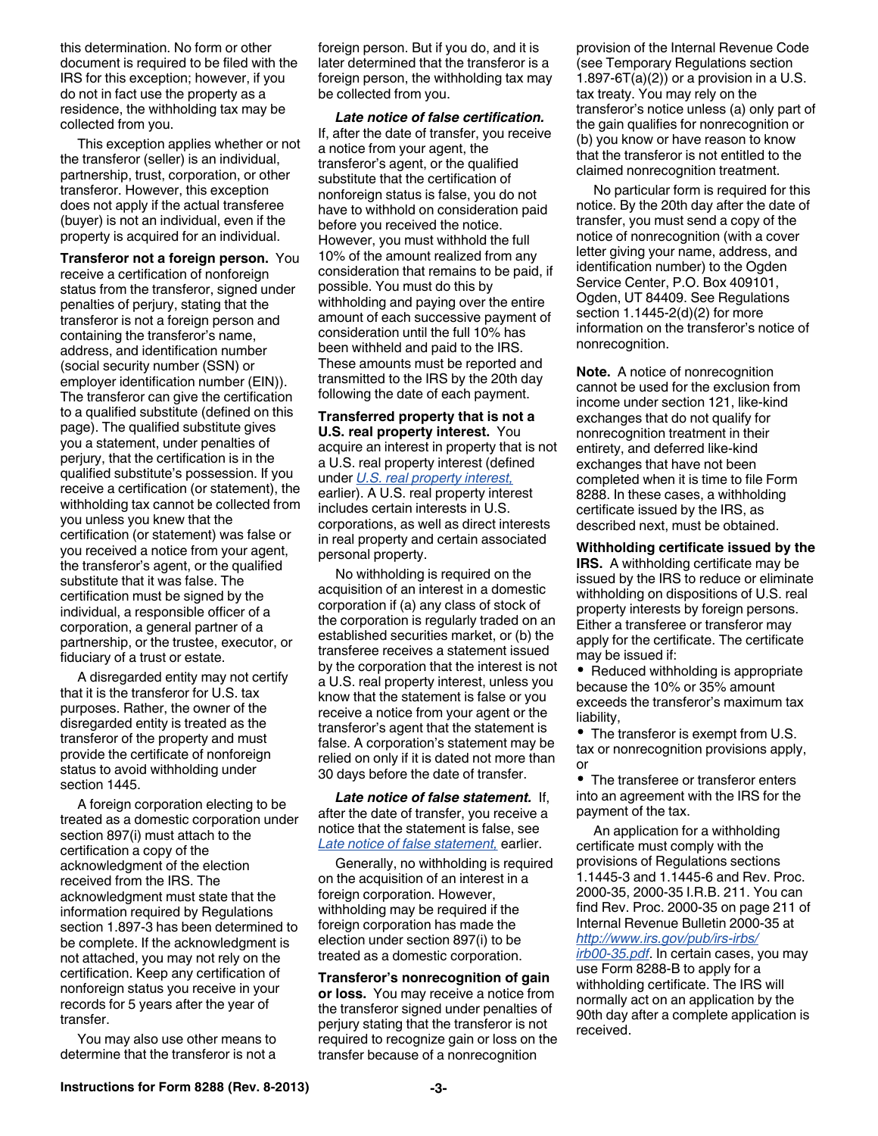<span id="page-2-0"></span>this determination. No form or other document is required to be filed with the IRS for this exception; however, if you do not in fact use the property as a residence, the withholding tax may be collected from you.

This exception applies whether or not the transferor (seller) is an individual, partnership, trust, corporation, or other transferor. However, this exception does not apply if the actual transferee (buyer) is not an individual, even if the property is acquired for an individual.

**Transferor not a foreign person.** You receive a certification of nonforeign status from the transferor, signed under penalties of perjury, stating that the transferor is not a foreign person and containing the transferor's name, address, and identification number (social security number (SSN) or employer identification number (EIN)). The transferor can give the certification to a qualified substitute (defined on this page). The qualified substitute gives you a statement, under penalties of perjury, that the certification is in the qualified substitute's possession. If you receive a certification (or statement), the withholding tax cannot be collected from you unless you knew that the certification (or statement) was false or you received a notice from your agent, the transferor's agent, or the qualified substitute that it was false. The certification must be signed by the individual, a responsible officer of a corporation, a general partner of a partnership, or the trustee, executor, or fiduciary of a trust or estate.

A disregarded entity may not certify that it is the transferor for U.S. tax purposes. Rather, the owner of the disregarded entity is treated as the transferor of the property and must provide the certificate of nonforeign status to avoid withholding under section 1445.

A foreign corporation electing to be treated as a domestic corporation under section 897(i) must attach to the certification a copy of the acknowledgment of the election received from the IRS. The acknowledgment must state that the information required by Regulations section 1.897-3 has been determined to be complete. If the acknowledgment is not attached, you may not rely on the certification. Keep any certification of nonforeign status you receive in your records for 5 years after the year of transfer.

You may also use other means to determine that the transferor is not a

foreign person. But if you do, and it is later determined that the transferor is a foreign person, the withholding tax may be collected from you.

*Late notice of false certification.*  If, after the date of transfer, you receive a notice from your agent, the transferor's agent, or the qualified substitute that the certification of nonforeign status is false, you do not have to withhold on consideration paid before you received the notice. However, you must withhold the full 10% of the amount realized from any consideration that remains to be paid, if possible. You must do this by withholding and paying over the entire amount of each successive payment of consideration until the full 10% has been withheld and paid to the IRS. These amounts must be reported and transmitted to the IRS by the 20th day following the date of each payment.

**Transferred property that is not a U.S. real property interest.** You acquire an interest in property that is not a U.S. real property interest (defined under *[U.S. real property interest,](#page-1-0)*  earlier). A U.S. real property interest includes certain interests in U.S. corporations, as well as direct interests in real property and certain associated personal property.

No withholding is required on the acquisition of an interest in a domestic corporation if (a) any class of stock of the corporation is regularly traded on an established securities market, or (b) the transferee receives a statement issued by the corporation that the interest is not a U.S. real property interest, unless you know that the statement is false or you receive a notice from your agent or the transferor's agent that the statement is false. A corporation's statement may be relied on only if it is dated not more than 30 days before the date of transfer.

*Late notice of false statement.* If, after the date of transfer, you receive a notice that the statement is false, see *Late notice of false statement,* earlier.

Generally, no withholding is required on the acquisition of an interest in a foreign corporation. However, withholding may be required if the foreign corporation has made the election under section 897(i) to be treated as a domestic corporation.

**Transferor's nonrecognition of gain or loss.** You may receive a notice from the transferor signed under penalties of perjury stating that the transferor is not required to recognize gain or loss on the transfer because of a nonrecognition

provision of the Internal Revenue Code (see Temporary Regulations section 1.897-6T(a)(2)) or a provision in a U.S. tax treaty. You may rely on the transferor's notice unless (a) only part of the gain qualifies for nonrecognition or (b) you know or have reason to know that the transferor is not entitled to the claimed nonrecognition treatment.

No particular form is required for this notice. By the 20th day after the date of transfer, you must send a copy of the notice of nonrecognition (with a cover letter giving your name, address, and identification number) to the Ogden Service Center, P.O. Box 409101, Ogden, UT 84409. See Regulations section 1.1445-2(d)(2) for more information on the transferor's notice of nonrecognition.

**Note.** A notice of nonrecognition cannot be used for the exclusion from income under section 121, like-kind exchanges that do not qualify for nonrecognition treatment in their entirety, and deferred like-kind exchanges that have not been completed when it is time to file Form 8288. In these cases, a withholding certificate issued by the IRS, as described next, must be obtained.

**Withholding certificate issued by the IRS.** A withholding certificate may be issued by the IRS to reduce or eliminate withholding on dispositions of U.S. real property interests by foreign persons. Either a transferee or transferor may apply for the certificate. The certificate may be issued if:

• Reduced withholding is appropriate because the 10% or 35% amount exceeds the transferor's maximum tax liability,

• The transferor is exempt from U.S. tax or nonrecognition provisions apply, or

• The transferee or transferor enters into an agreement with the IRS for the payment of the tax.

An application for a withholding certificate must comply with the provisions of Regulations sections 1.1445-3 and 1.1445-6 and Rev. Proc. 2000-35, 2000-35 I.R.B. 211. You can find Rev. Proc. 2000-35 on page 211 of Internal Revenue Bulletin 2000-35 at *[http://www.irs.gov/pub/irs-irbs/](http://www.irs.gov/pub/irs-irbs/irb00-35.pdf)*

*[irb00-35.pdf](http://www.irs.gov/pub/irs-irbs/irb00-35.pdf)*. In certain cases, you may use Form 8288-B to apply for a withholding certificate. The IRS will normally act on an application by the 90th day after a complete application is received.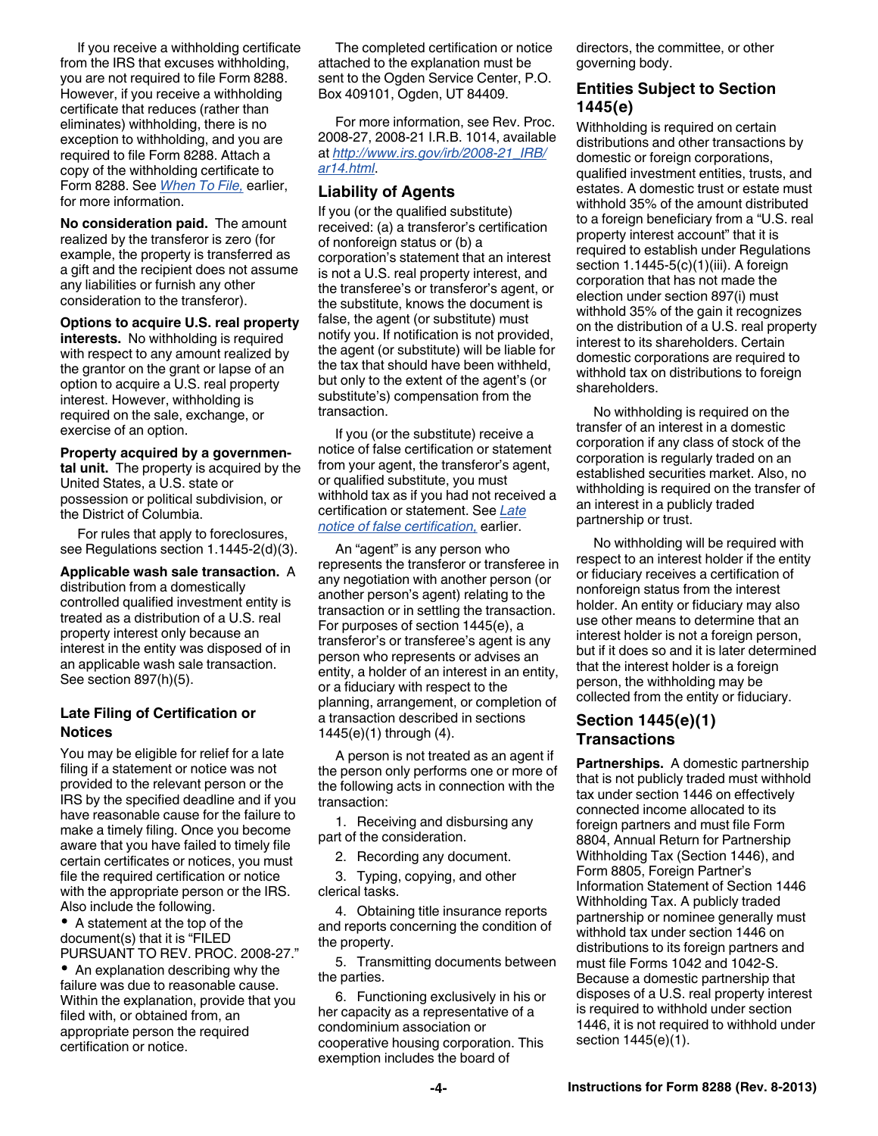<span id="page-3-0"></span>If you receive a withholding certificate from the IRS that excuses withholding, you are not required to file Form 8288. However, if you receive a withholding certificate that reduces (rather than eliminates) withholding, there is no exception to withholding, and you are required to file Form 8288. Attach a copy of the withholding certificate to Form 8288. See *[When To File,](#page-0-0)* earlier, for more information.

**No consideration paid.** The amount realized by the transferor is zero (for example, the property is transferred as a gift and the recipient does not assume any liabilities or furnish any other consideration to the transferor).

**Options to acquire U.S. real property interests.** No withholding is required with respect to any amount realized by the grantor on the grant or lapse of an option to acquire a U.S. real property interest. However, withholding is required on the sale, exchange, or exercise of an option.

**Property acquired by a governmental unit.** The property is acquired by the United States, a U.S. state or possession or political subdivision, or the District of Columbia.

For rules that apply to foreclosures, see Regulations section 1.1445-2(d)(3).

**Applicable wash sale transaction.** A distribution from a domestically controlled qualified investment entity is treated as a distribution of a U.S. real property interest only because an interest in the entity was disposed of in an applicable wash sale transaction. See section 897(h)(5).

#### **Late Filing of Certification or Notices**

You may be eligible for relief for a late filing if a statement or notice was not provided to the relevant person or the IRS by the specified deadline and if you have reasonable cause for the failure to make a timely filing. Once you become aware that you have failed to timely file certain certificates or notices, you must file the required certification or notice with the appropriate person or the IRS. Also include the following.

A statement at the top of the document(s) that it is "FILED PURSUANT TO REV. PROC. 2008-27."

• An explanation describing why the failure was due to reasonable cause. Within the explanation, provide that you filed with, or obtained from, an appropriate person the required certification or notice.

The completed certification or notice attached to the explanation must be sent to the Ogden Service Center, P.O. Box 409101, Ogden, UT 84409.

For more information, see Rev. Proc. 2008-27, 2008-21 I.R.B. 1014, available at *[http://www.irs.gov/irb/2008-21\\_IRB/](http://www.irs.gov/irb/2008-21_IRB/ar14.html) [ar14.html](http://www.irs.gov/irb/2008-21_IRB/ar14.html)*.

### **Liability of Agents**

If you (or the qualified substitute) received: (a) a transferor's certification of nonforeign status or (b) a corporation's statement that an interest is not a U.S. real property interest, and the transferee's or transferor's agent, or the substitute, knows the document is false, the agent (or substitute) must notify you. If notification is not provided, the agent (or substitute) will be liable for the tax that should have been withheld, but only to the extent of the agent's (or substitute's) compensation from the transaction.

If you (or the substitute) receive a notice of false certification or statement from your agent, the transferor's agent, or qualified substitute, you must withhold tax as if you had not received a certification or statement. See *[Late](#page-2-0) [notice of false certification,](#page-2-0)* earlier.

An "agent" is any person who represents the transferor or transferee in any negotiation with another person (or another person's agent) relating to the transaction or in settling the transaction. For purposes of section 1445(e), a transferor's or transferee's agent is any person who represents or advises an entity, a holder of an interest in an entity, or a fiduciary with respect to the planning, arrangement, or completion of a transaction described in sections 1445(e)(1) through (4).

A person is not treated as an agent if the person only performs one or more of the following acts in connection with the transaction:

1. Receiving and disbursing any part of the consideration.

2. Recording any document.

3. Typing, copying, and other clerical tasks.

4. Obtaining title insurance reports and reports concerning the condition of the property.

5. Transmitting documents between the parties.

6. Functioning exclusively in his or her capacity as a representative of a condominium association or cooperative housing corporation. This exemption includes the board of

directors, the committee, or other governing body.

## **Entities Subject to Section 1445(e)**

Withholding is required on certain distributions and other transactions by domestic or foreign corporations, qualified investment entities, trusts, and estates. A domestic trust or estate must withhold 35% of the amount distributed to a foreign beneficiary from a "U.S. real property interest account" that it is required to establish under Regulations section 1.1445-5(c)(1)(iii). A foreign corporation that has not made the election under section 897(i) must withhold 35% of the gain it recognizes on the distribution of a U.S. real property interest to its shareholders. Certain domestic corporations are required to withhold tax on distributions to foreign shareholders.

No withholding is required on the transfer of an interest in a domestic corporation if any class of stock of the corporation is regularly traded on an established securities market. Also, no withholding is required on the transfer of an interest in a publicly traded partnership or trust.

No withholding will be required with respect to an interest holder if the entity or fiduciary receives a certification of nonforeign status from the interest holder. An entity or fiduciary may also use other means to determine that an interest holder is not a foreign person, but if it does so and it is later determined that the interest holder is a foreign person, the withholding may be collected from the entity or fiduciary.

## **Section 1445(e)(1) Transactions**

**Partnerships.** A domestic partnership that is not publicly traded must withhold tax under section 1446 on effectively connected income allocated to its foreign partners and must file Form 8804, Annual Return for Partnership Withholding Tax (Section 1446), and Form 8805, Foreign Partner's Information Statement of Section 1446 Withholding Tax. A publicly traded partnership or nominee generally must withhold tax under section 1446 on distributions to its foreign partners and must file Forms 1042 and 1042-S. Because a domestic partnership that disposes of a U.S. real property interest is required to withhold under section 1446, it is not required to withhold under section 1445(e)(1).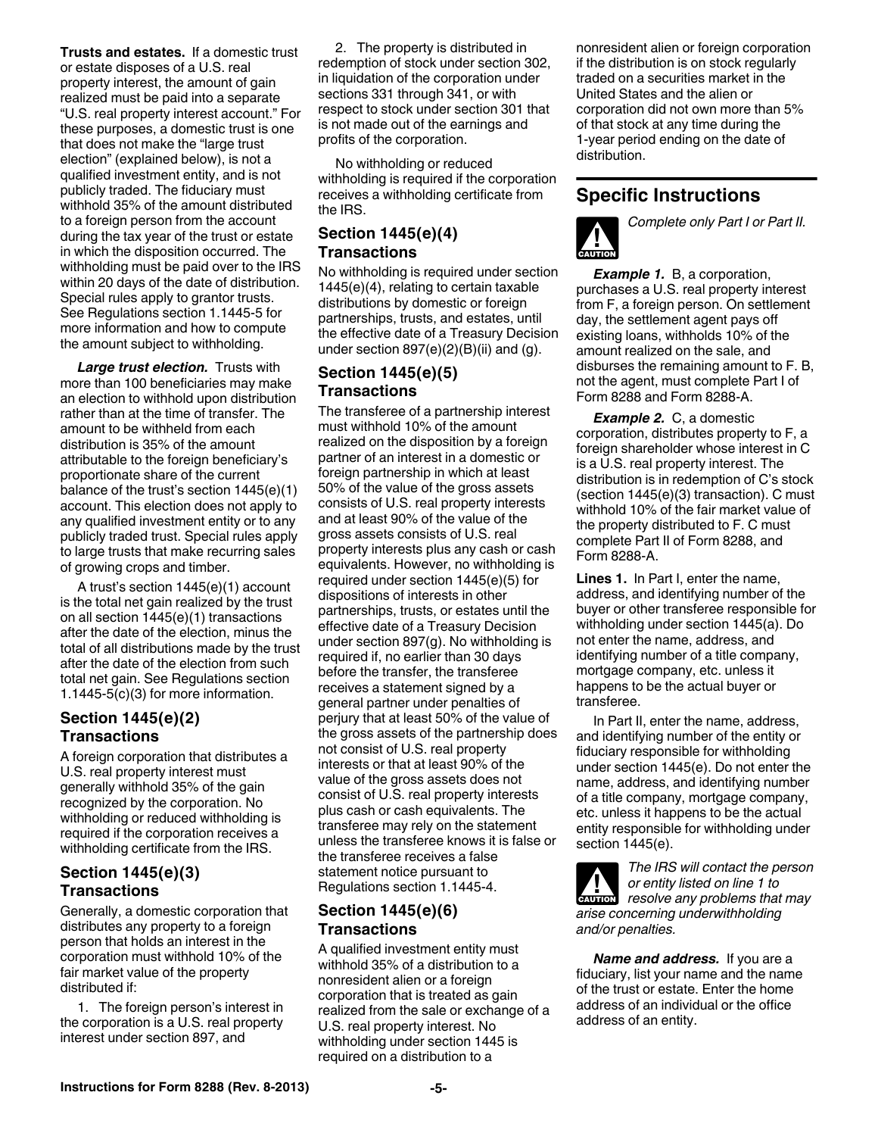**Trusts and estates.** If a domestic trust or estate disposes of a U.S. real property interest, the amount of gain realized must be paid into a separate "U.S. real property interest account." For these purposes, a domestic trust is one that does not make the "large trust election" (explained below), is not a qualified investment entity, and is not publicly traded. The fiduciary must withhold 35% of the amount distributed to a foreign person from the account during the tax year of the trust or estate in which the disposition occurred. The withholding must be paid over to the IRS within 20 days of the date of distribution. Special rules apply to grantor trusts. See Regulations section 1.1445-5 for more information and how to compute the amount subject to withholding.

*Large trust election.* Trusts with more than 100 beneficiaries may make an election to withhold upon distribution rather than at the time of transfer. The amount to be withheld from each distribution is 35% of the amount attributable to the foreign beneficiary's proportionate share of the current balance of the trust's section 1445(e)(1) account. This election does not apply to any qualified investment entity or to any publicly traded trust. Special rules apply to large trusts that make recurring sales of growing crops and timber.

A trust's section 1445(e)(1) account is the total net gain realized by the trust on all section 1445(e)(1) transactions after the date of the election, minus the total of all distributions made by the trust after the date of the election from such total net gain. See Regulations section 1.1445-5(c)(3) for more information.

## **Section 1445(e)(2) Transactions**

A foreign corporation that distributes a U.S. real property interest must generally withhold 35% of the gain recognized by the corporation. No withholding or reduced withholding is required if the corporation receives a withholding certificate from the IRS.

## **Section 1445(e)(3) Transactions**

Generally, a domestic corporation that distributes any property to a foreign person that holds an interest in the corporation must withhold 10% of the fair market value of the property distributed if:

1. The foreign person's interest in the corporation is a U.S. real property interest under section 897, and

2. The property is distributed in redemption of stock under section 302, in liquidation of the corporation under sections 331 through 341, or with respect to stock under section 301 that is not made out of the earnings and profits of the corporation.

No withholding or reduced withholding is required if the corporation receives a withholding certificate from the IRS.

## **Section 1445(e)(4) Transactions**

No withholding is required under section 1445(e)(4), relating to certain taxable distributions by domestic or foreign partnerships, trusts, and estates, until the effective date of a Treasury Decision under section  $897(e)(2)(B)(ii)$  and  $(g)$ .

## **Section 1445(e)(5) Transactions**

The transferee of a partnership interest must withhold 10% of the amount realized on the disposition by a foreign partner of an interest in a domestic or foreign partnership in which at least 50% of the value of the gross assets consists of U.S. real property interests and at least 90% of the value of the gross assets consists of U.S. real property interests plus any cash or cash equivalents. However, no withholding is required under section 1445(e)(5) for dispositions of interests in other partnerships, trusts, or estates until the effective date of a Treasury Decision under section 897(g). No withholding is required if, no earlier than 30 days before the transfer, the transferee receives a statement signed by a general partner under penalties of perjury that at least 50% of the value of the gross assets of the partnership does not consist of U.S. real property interests or that at least 90% of the value of the gross assets does not consist of U.S. real property interests plus cash or cash equivalents. The transferee may rely on the statement unless the transferee knows it is false or the transferee receives a false statement notice pursuant to Regulations section 1.1445-4.

## **Section 1445(e)(6) Transactions**

A qualified investment entity must withhold 35% of a distribution to a nonresident alien or a foreign corporation that is treated as gain realized from the sale or exchange of a U.S. real property interest. No withholding under section 1445 is required on a distribution to a

nonresident alien or foreign corporation if the distribution is on stock regularly traded on a securities market in the United States and the alien or corporation did not own more than 5% of that stock at any time during the 1-year period ending on the date of distribution.

## **Specific Instructions**



*Complete only Part I or Part II.*

**Example 1.** B, a corporation, purchases a U.S. real property interest from F, a foreign person. On settlement day, the settlement agent pays off existing loans, withholds 10% of the amount realized on the sale, and disburses the remaining amount to F. B, not the agent, must complete Part I of Form 8288 and Form 8288-A.

*Example 2.* C, a domestic corporation, distributes property to F, a foreign shareholder whose interest in C is a U.S. real property interest. The distribution is in redemption of C's stock (section 1445(e)(3) transaction). C must withhold 10% of the fair market value of the property distributed to F. C must complete Part II of Form 8288, and Form 8288-A.

**Lines 1.** In Part I, enter the name, address, and identifying number of the buyer or other transferee responsible for withholding under section 1445(a). Do not enter the name, address, and identifying number of a title company, mortgage company, etc. unless it happens to be the actual buyer or transferee.

In Part II, enter the name, address, and identifying number of the entity or fiduciary responsible for withholding under section 1445(e). Do not enter the name, address, and identifying number of a title company, mortgage company, etc. unless it happens to be the actual entity responsible for withholding under section 1445(e).



*The IRS will contact the person or entity listed on line 1 to Propertify listed on line 1 to*<br>*resolve any problems that may arise concerning underwithholding and/or penalties.*

*Name and address.* If you are a fiduciary, list your name and the name of the trust or estate. Enter the home address of an individual or the office address of an entity.